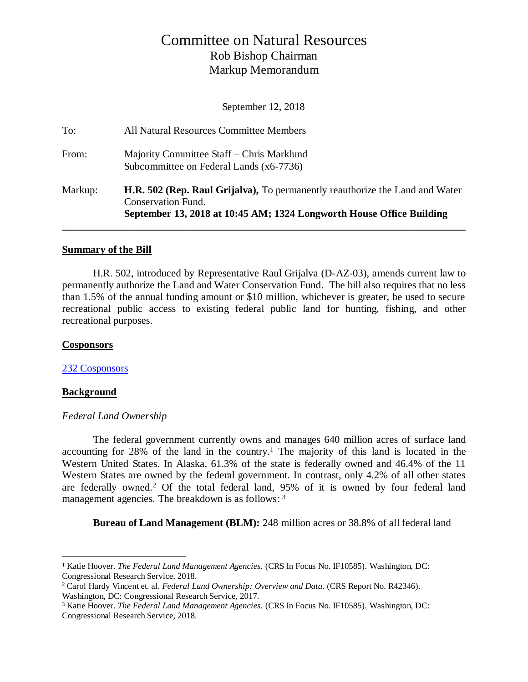# Committee on Natural Resources Rob Bishop Chairman Markup Memorandum

September 12, 2018

| Markup: | <b>H.R. 502 (Rep. Raul Grijalva),</b> To permanently reauthorize the Land and Water<br><b>Conservation Fund.</b><br>September 13, 2018 at 10:45 AM; 1324 Longworth House Office Building |
|---------|------------------------------------------------------------------------------------------------------------------------------------------------------------------------------------------|
| From:   | Majority Committee Staff – Chris Marklund<br>Subcommittee on Federal Lands (x6-7736)                                                                                                     |
|         |                                                                                                                                                                                          |
| To:     | All Natural Resources Committee Members                                                                                                                                                  |

#### **Summary of the Bill**

H.R. 502, introduced by Representative Raul Grijalva (D-AZ-03), amends current law to permanently authorize the Land and Water Conservation Fund. The bill also requires that no less than 1.5% of the annual funding amount or \$10 million, whichever is greater, be used to secure recreational public access to existing federal public land for hunting, fishing, and other recreational purposes.

### **Cosponsors**

[232 Cosponsors](https://www.congress.gov/bill/115th-congress/house-bill/502/cosponsors?r=1)

## **Background**

 $\overline{a}$ 

## *Federal Land Ownership*

The federal government currently owns and manages 640 million acres of surface land accounting for 28% of the land in the country.<sup>1</sup> The majority of this land is located in the Western United States. In Alaska, 61.3% of the state is federally owned and 46.4% of the 11 Western States are owned by the federal government. In contrast, only 4.2% of all other states are federally owned.<sup>2</sup> Of the total federal land, 95% of it is owned by four federal land management agencies. The breakdown is as follows: 3

**Bureau of Land Management (BLM):** 248 million acres or 38.8% of all federal land

<sup>&</sup>lt;sup>1</sup> Katie Hoover. *The Federal Land Management Agencies.* (CRS In Focus No. IF10585). Washington, DC: Congressional Research Service, 2018.

<sup>2</sup> Carol Hardy Vincent et. al. *Federal Land Ownership: Overview and Data.* (CRS Report No. R42346). Washington, DC: Congressional Research Service, 2017.

<sup>3</sup> Katie Hoover. *The Federal Land Management Agencies.* (CRS In Focus No. IF10585). Washington, DC: Congressional Research Service, 2018.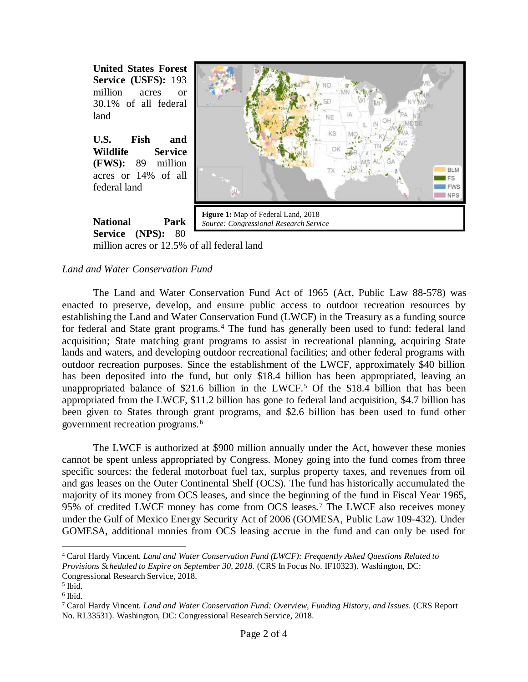

**U.S. Fish and Wildlife Service (FWS):** 89 million acres or 14% of all federal land



**National Park**  Service (NPS): 80

million acres or 12.5% of all federal land

## *Land and Water Conservation Fund*

The Land and Water Conservation Fund Act of 1965 (Act, Public Law 88-578) was enacted to preserve, develop, and ensure public access to outdoor recreation resources by establishing the Land and Water Conservation Fund (LWCF) in the Treasury as a funding source for federal and State grant programs.<sup>4</sup> The fund has generally been used to fund: federal land acquisition; State matching grant programs to assist in recreational planning, acquiring State lands and waters, and developing outdoor recreational facilities; and other federal programs with outdoor recreation purposes. Since the establishment of the LWCF, approximately \$40 billion has been deposited into the fund, but only \$18.4 billion has been appropriated, leaving an unappropriated balance of \$21.6 billion in the LWCF.<sup>5</sup> Of the \$18.4 billion that has been appropriated from the LWCF, \$11.2 billion has gone to federal land acquisition, \$4.7 billion has been given to States through grant programs, and \$2.6 billion has been used to fund other government recreation programs.<sup>6</sup>

The LWCF is authorized at \$900 million annually under the Act, however these monies cannot be spent unless appropriated by Congress. Money going into the fund comes from three specific sources: the federal motorboat fuel tax, surplus property taxes, and revenues from oil and gas leases on the Outer Continental Shelf (OCS). The fund has historically accumulated the majority of its money from OCS leases, and since the beginning of the fund in Fiscal Year 1965, 95% of credited LWCF money has come from OCS leases.<sup>7</sup> The LWCF also receives money under the Gulf of Mexico Energy Security Act of 2006 (GOMESA, Public Law 109-432). Under GOMESA, additional monies from OCS leasing accrue in the fund and can only be used for

 $\overline{a}$ 

<sup>4</sup> Carol Hardy Vincent. *Land and Water Conservation Fund (LWCF): Frequently Asked Questions Related to Provisions Scheduled to Expire on September 30, 2018.* (CRS In Focus No. IF10323). Washington, DC:

Congressional Research Service, 2018.

<sup>5</sup> Ibid.

<sup>6</sup> Ibid.

<sup>7</sup> Carol Hardy Vincent. *Land and Water Conservation Fund: Overview, Funding History, and Issues.* (CRS Report No. RL33531). Washington, DC: Congressional Research Service, 2018.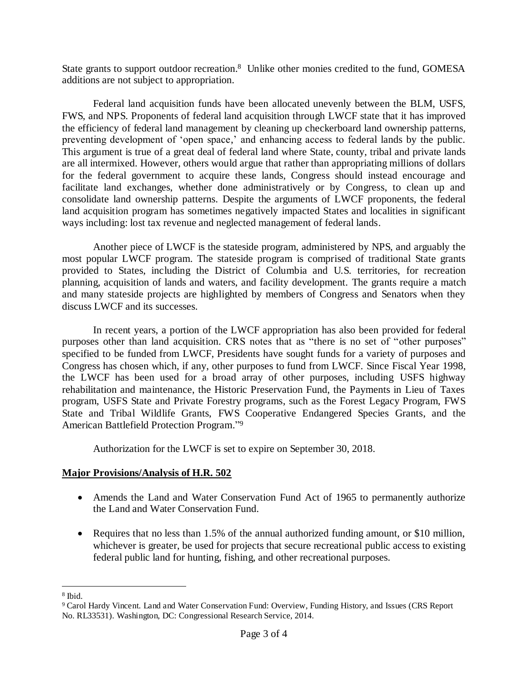State grants to support outdoor recreation.<sup>8</sup> Unlike other monies credited to the fund, GOMESA additions are not subject to appropriation.

Federal land acquisition funds have been allocated unevenly between the BLM, USFS, FWS, and NPS. Proponents of federal land acquisition through LWCF state that it has improved the efficiency of federal land management by cleaning up checkerboard land ownership patterns, preventing development of 'open space,' and enhancing access to federal lands by the public. This argument is true of a great deal of federal land where State, county, tribal and private lands are all intermixed. However, others would argue that rather than appropriating millions of dollars for the federal government to acquire these lands, Congress should instead encourage and facilitate land exchanges, whether done administratively or by Congress, to clean up and consolidate land ownership patterns. Despite the arguments of LWCF proponents, the federal land acquisition program has sometimes negatively impacted States and localities in significant ways including: lost tax revenue and neglected management of federal lands.

Another piece of LWCF is the stateside program, administered by NPS, and arguably the most popular LWCF program. The stateside program is comprised of traditional State grants provided to States, including the District of Columbia and U.S. territories, for recreation planning, acquisition of lands and waters, and facility development. The grants require a match and many stateside projects are highlighted by members of Congress and Senators when they discuss LWCF and its successes.

In recent years, a portion of the LWCF appropriation has also been provided for federal purposes other than land acquisition. CRS notes that as "there is no set of "other purposes" specified to be funded from LWCF, Presidents have sought funds for a variety of purposes and Congress has chosen which, if any, other purposes to fund from LWCF. Since Fiscal Year 1998, the LWCF has been used for a broad array of other purposes, including USFS highway rehabilitation and maintenance, the Historic Preservation Fund, the Payments in Lieu of Taxes program, USFS State and Private Forestry programs, such as the Forest Legacy Program, FWS State and Tribal Wildlife Grants, FWS Cooperative Endangered Species Grants, and the American Battlefield Protection Program." 9

Authorization for the LWCF is set to expire on September 30, 2018.

## **Major Provisions/Analysis of H.R. 502**

- Amends the Land and Water Conservation Fund Act of 1965 to permanently authorize the Land and Water Conservation Fund.
- Requires that no less than 1.5% of the annual authorized funding amount, or \$10 million, whichever is greater, be used for projects that secure recreational public access to existing federal public land for hunting, fishing, and other recreational purposes.

 $\overline{a}$ 

<sup>8</sup> Ibid.

<sup>9</sup> Carol Hardy Vincent. Land and Water Conservation Fund: Overview, Funding History, and Issues (CRS Report No. RL33531). Washington, DC: Congressional Research Service, 2014.